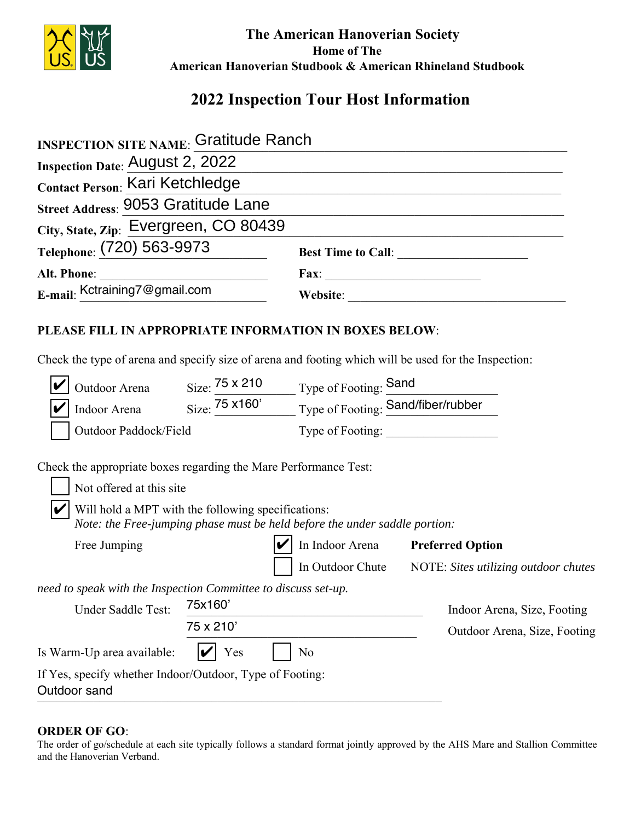

 **The American Hanoverian Society Home of The American Hanoverian Studbook & American Rhineland Studbook**

# **2022 Inspection Tour Host Information**

| <b>INSPECTION SITE NAME: Gratitude Ranch</b>                                                                                                                   |           |                                                                                                                                                                    |                                                       |
|----------------------------------------------------------------------------------------------------------------------------------------------------------------|-----------|--------------------------------------------------------------------------------------------------------------------------------------------------------------------|-------------------------------------------------------|
| <b>Inspection Date: August 2, 2022</b>                                                                                                                         |           |                                                                                                                                                                    |                                                       |
| Contact Person: Kari Ketchledge                                                                                                                                |           |                                                                                                                                                                    |                                                       |
| Street Address: 9053 Gratitude Lane                                                                                                                            |           |                                                                                                                                                                    |                                                       |
| City, State, Zip: Evergreen, CO 80439                                                                                                                          |           |                                                                                                                                                                    |                                                       |
| Telephone: (720) 563-9973                                                                                                                                      |           |                                                                                                                                                                    |                                                       |
| Alt. Phone:                                                                                                                                                    |           |                                                                                                                                                                    |                                                       |
| E-mail: Kctraining7@gmail.com                                                                                                                                  |           |                                                                                                                                                                    |                                                       |
| PLEASE FILL IN APPROPRIATE INFORMATION IN BOXES BELOW:<br>Check the type of arena and specify size of arena and footing which will be used for the Inspection: |           |                                                                                                                                                                    |                                                       |
|                                                                                                                                                                |           | Outdoor Arena Size: $\frac{75 \times 210}{5 \times 160}$ Type of Footing: Sand<br>Indoor Arena Size: $\frac{75 \times 160}{20}$ Type of Footing: Sand/fiber/rubber |                                                       |
|                                                                                                                                                                |           |                                                                                                                                                                    |                                                       |
| Outdoor Paddock/Field                                                                                                                                          |           | Type of Footing:                                                                                                                                                   |                                                       |
| Check the appropriate boxes regarding the Mare Performance Test:<br>Not offered at this site<br>Will hold a MPT with the following specifications:             |           | Note: the Free-jumping phase must be held before the under saddle portion:                                                                                         |                                                       |
| Free Jumping                                                                                                                                                   |           | In Indoor Arena Preferred Option                                                                                                                                   |                                                       |
|                                                                                                                                                                |           |                                                                                                                                                                    | In Outdoor Chute NOTE: Sites utilizing outdoor chutes |
| need to speak with the Inspection Committee to discuss set-up.<br>Under Saddle Test:                                                                           | 75x160    |                                                                                                                                                                    | Indoor Arena, Size, Footing                           |
|                                                                                                                                                                | 75 x 210' |                                                                                                                                                                    | Outdoor Arena, Size, Footing                          |
| Is Warm-Up area available:                                                                                                                                     | Yes       | No                                                                                                                                                                 |                                                       |
| If Yes, specify whether Indoor/Outdoor, Type of Footing:<br>Outdoor sand                                                                                       |           |                                                                                                                                                                    |                                                       |

#### **ORDER OF GO**:

The order of go/schedule at each site typically follows a standard format jointly approved by the AHS Mare and Stallion Committee and the Hanoverian Verband.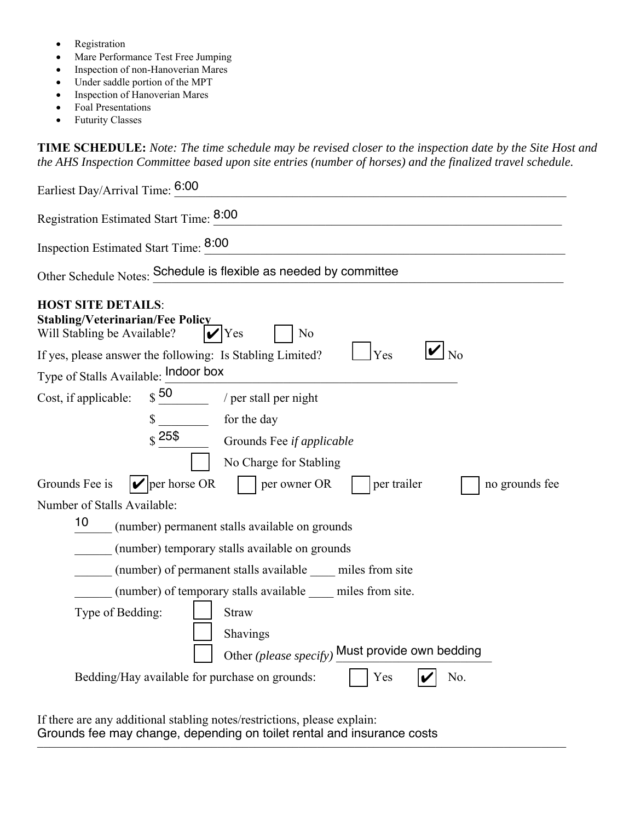- Registration
- Mare Performance Test Free Jumping
- Inspection of non-Hanoverian Mares
- Under saddle portion of the MPT
- Inspection of Hanoverian Mares
- Foal Presentations
- Futurity Classes

**TIME SCHEDULE:** *Note: The time schedule may be revised closer to the inspection date by the Site Host and the AHS Inspection Committee based upon site entries (number of horses) and the finalized travel schedule.* 

| Earliest Day/Arrival Time: 6:00                                                                                                                                                                                       |
|-----------------------------------------------------------------------------------------------------------------------------------------------------------------------------------------------------------------------|
| Registration Estimated Start Time: 8:00                                                                                                                                                                               |
| Inspection Estimated Start Time: 8:00                                                                                                                                                                                 |
| Other Schedule Notes: Schedule is flexible as needed by committee                                                                                                                                                     |
| <b>HOST SITE DETAILS:</b><br><b>Stabling/Veterinarian/Fee Policy</b><br>Will Stabling be Available?<br>Yes<br>N <sub>0</sub><br>$\overline{\log}$<br>Yes<br>If yes, please answer the following: Is Stabling Limited? |
| Type of Stalls Available: Indoor box                                                                                                                                                                                  |
| $\int$ 50<br>Cost, if applicable:<br>/ per stall per night                                                                                                                                                            |
| for the day<br>\$                                                                                                                                                                                                     |
| $\hat{\mathbf{s}}$ 25\$<br>Grounds Fee if applicable                                                                                                                                                                  |
| No Charge for Stabling                                                                                                                                                                                                |
| $  \mathbf{v}  $ per horse OR<br>Grounds Fee is<br>per owner OR<br>per trailer<br>no grounds fee                                                                                                                      |
| Number of Stalls Available:                                                                                                                                                                                           |
| 10<br>(number) permanent stalls available on grounds                                                                                                                                                                  |
| (number) temporary stalls available on grounds                                                                                                                                                                        |
| (number) of permanent stalls available miles from site                                                                                                                                                                |
| (number) of temporary stalls available miles from site.                                                                                                                                                               |
| Type of Bedding:<br><b>Straw</b>                                                                                                                                                                                      |
| Shavings                                                                                                                                                                                                              |
| Other (please specify) Must provide own bedding                                                                                                                                                                       |
| Bedding/Hay available for purchase on grounds:<br>Yes<br>No.                                                                                                                                                          |
|                                                                                                                                                                                                                       |
|                                                                                                                                                                                                                       |

If there are any additional stabling notes/restrictions, please explain: Grounds fee may change, depending on toilet rental and insurance costs<br>
The may change, depending on toilet rental and insurance costs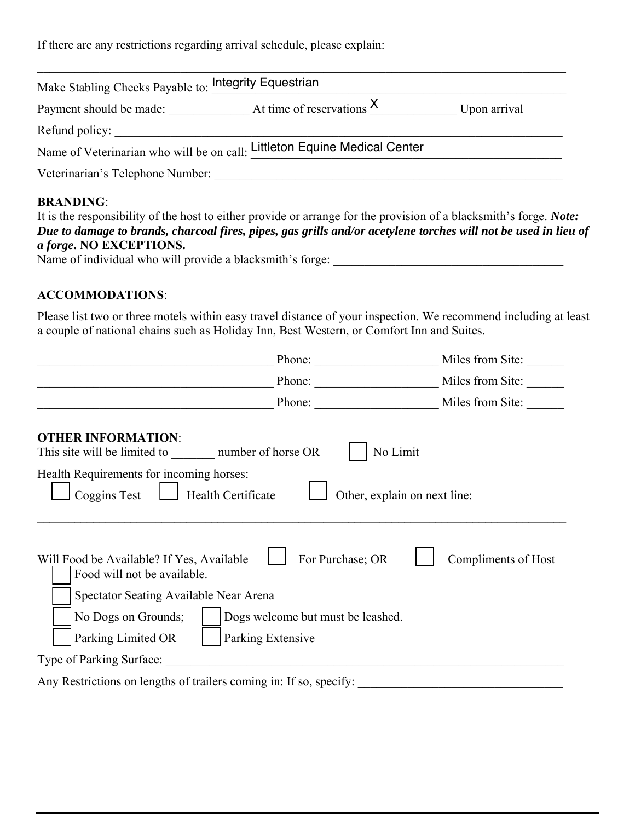If there are any restrictions regarding arrival schedule, please explain:

| Make Stabling Checks Payable to: Integrity Equestrian |                                                                           |              |
|-------------------------------------------------------|---------------------------------------------------------------------------|--------------|
| Payment should be made:                               | At time of reservations $X$                                               | Upon arrival |
| Refund policy:                                        |                                                                           |              |
|                                                       | Name of Veterinarian who will be on call: Littleton Equine Medical Center |              |
| Veterinarian's Telephone Number:                      |                                                                           |              |
|                                                       |                                                                           |              |

### **BRANDING**:

| It is the responsibility of the host to either provide or arrange for the provision of a blacksmith's forge. <i>Note:</i>                                                                                                                                                                                                                           |  |
|-----------------------------------------------------------------------------------------------------------------------------------------------------------------------------------------------------------------------------------------------------------------------------------------------------------------------------------------------------|--|
| Due to damage to brands, charcoal fires, pipes, gas grills and/or acetylene torches will not be used in lieu of                                                                                                                                                                                                                                     |  |
| <i>a forge.</i> NO EXCEPTIONS.<br>$\mathcal{L}$ and $\mathcal{L}$ and $\mathcal{L}$ and $\mathcal{L}$ and $\mathcal{L}$ and $\mathcal{L}$ and $\mathcal{L}$ and $\mathcal{L}$ and $\mathcal{L}$ and $\mathcal{L}$ and $\mathcal{L}$ and $\mathcal{L}$ and $\mathcal{L}$ and $\mathcal{L}$ and $\mathcal{L}$ and $\mathcal{L}$ and $\mathcal{L}$ and |  |

Name of individual who will provide a blacksmith's forge: \_\_\_\_\_\_\_\_\_\_\_\_\_\_\_\_\_\_\_\_\_\_\_\_\_\_\_\_\_\_\_\_\_\_\_\_\_

#### **ACCOMMODATIONS**:

Please list two or three motels within easy travel distance of your inspection. We recommend including at least a couple of national chains such as Holiday Inn, Best Western, or Comfort Inn and Suites.

| Phone:                                                                                                                                                                                                                                                                                                                                                                                                                                            | Miles from Site:    |
|---------------------------------------------------------------------------------------------------------------------------------------------------------------------------------------------------------------------------------------------------------------------------------------------------------------------------------------------------------------------------------------------------------------------------------------------------|---------------------|
| Phone: $\frac{1}{\sqrt{1-\frac{1}{2}} \cdot \frac{1}{2} \cdot \frac{1}{2} \cdot \frac{1}{2} \cdot \frac{1}{2} \cdot \frac{1}{2} \cdot \frac{1}{2} \cdot \frac{1}{2} \cdot \frac{1}{2} \cdot \frac{1}{2} \cdot \frac{1}{2} \cdot \frac{1}{2} \cdot \frac{1}{2} \cdot \frac{1}{2} \cdot \frac{1}{2} \cdot \frac{1}{2} \cdot \frac{1}{2} \cdot \frac{1}{2} \cdot \frac{1}{2} \cdot \frac{1}{2} \cdot \frac{1}{2} \cdot \frac{1}{2} \cdot \frac{1}{2$ | Miles from Site:    |
| Phone:                                                                                                                                                                                                                                                                                                                                                                                                                                            | Miles from Site:    |
| <b>OTHER INFORMATION:</b><br>No Limit<br>This site will be limited to number of horse OR<br>Health Requirements for incoming horses:<br>Coggins Test<br>Health Certificate<br>Other, explain on next line:                                                                                                                                                                                                                                        |                     |
| For Purchase; OR<br>Will Food be Available? If Yes, Available<br>Food will not be available.<br>Spectator Seating Available Near Arena<br>No Dogs on Grounds;<br>Dogs welcome but must be leashed.<br>Parking Limited OR<br>Parking Extensive                                                                                                                                                                                                     | Compliments of Host |
| Type of Parking Surface:                                                                                                                                                                                                                                                                                                                                                                                                                          |                     |
| Any Restrictions on lengths of trailers coming in: If so, specify:                                                                                                                                                                                                                                                                                                                                                                                |                     |